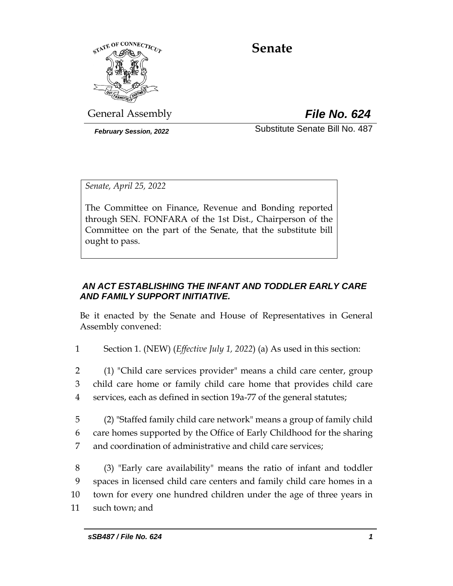

# **Senate**

General Assembly *File No. 624*

*February Session, 2022* Substitute Senate Bill No. 487

*Senate, April 25, 2022*

The Committee on Finance, Revenue and Bonding reported through SEN. FONFARA of the 1st Dist., Chairperson of the Committee on the part of the Senate, that the substitute bill ought to pass.

## *AN ACT ESTABLISHING THE INFANT AND TODDLER EARLY CARE AND FAMILY SUPPORT INITIATIVE.*

Be it enacted by the Senate and House of Representatives in General Assembly convened:

1 Section 1. (NEW) (*Effective July 1, 2022*) (a) As used in this section:

2 (1) "Child care services provider" means a child care center, group 3 child care home or family child care home that provides child care 4 services, each as defined in section 19a-77 of the general statutes;

5 (2) "Staffed family child care network" means a group of family child 6 care homes supported by the Office of Early Childhood for the sharing 7 and coordination of administrative and child care services;

 (3) "Early care availability" means the ratio of infant and toddler spaces in licensed child care centers and family child care homes in a town for every one hundred children under the age of three years in such town; and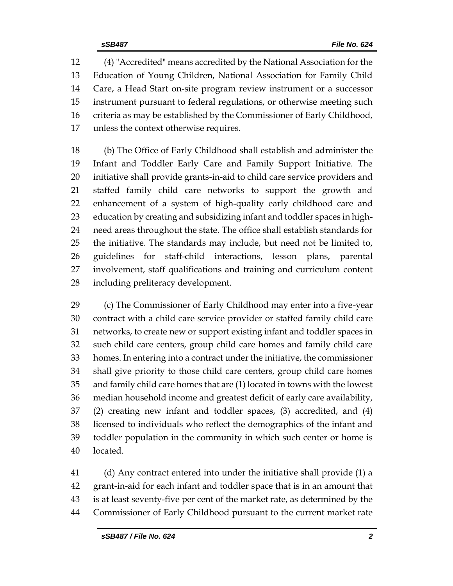(4) "Accredited" means accredited by the National Association for the Education of Young Children, National Association for Family Child Care, a Head Start on-site program review instrument or a successor instrument pursuant to federal regulations, or otherwise meeting such criteria as may be established by the Commissioner of Early Childhood, unless the context otherwise requires.

 (b) The Office of Early Childhood shall establish and administer the Infant and Toddler Early Care and Family Support Initiative. The initiative shall provide grants-in-aid to child care service providers and staffed family child care networks to support the growth and enhancement of a system of high-quality early childhood care and education by creating and subsidizing infant and toddler spaces in high- need areas throughout the state. The office shall establish standards for the initiative. The standards may include, but need not be limited to, guidelines for staff-child interactions, lesson plans, parental involvement, staff qualifications and training and curriculum content including preliteracy development.

 (c) The Commissioner of Early Childhood may enter into a five-year contract with a child care service provider or staffed family child care networks, to create new or support existing infant and toddler spaces in such child care centers, group child care homes and family child care homes. In entering into a contract under the initiative, the commissioner shall give priority to those child care centers, group child care homes and family child care homes that are (1) located in towns with the lowest median household income and greatest deficit of early care availability, (2) creating new infant and toddler spaces, (3) accredited, and (4) licensed to individuals who reflect the demographics of the infant and toddler population in the community in which such center or home is located.

 (d) Any contract entered into under the initiative shall provide (1) a grant-in-aid for each infant and toddler space that is in an amount that is at least seventy-five per cent of the market rate, as determined by the Commissioner of Early Childhood pursuant to the current market rate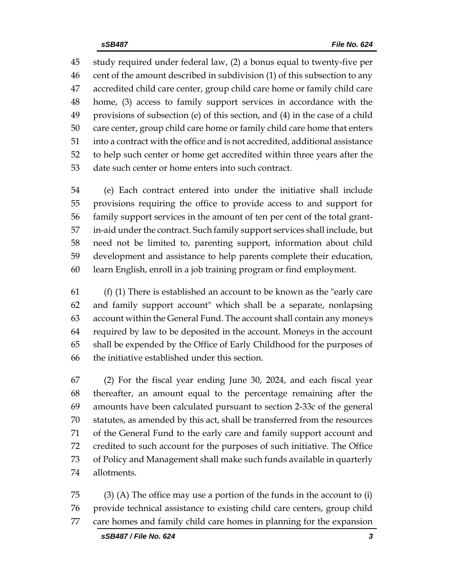study required under federal law, (2) a bonus equal to twenty-five per cent of the amount described in subdivision (1) of this subsection to any accredited child care center, group child care home or family child care home, (3) access to family support services in accordance with the provisions of subsection (e) of this section, and (4) in the case of a child care center, group child care home or family child care home that enters into a contract with the office and is not accredited, additional assistance to help such center or home get accredited within three years after the date such center or home enters into such contract.

 (e) Each contract entered into under the initiative shall include provisions requiring the office to provide access to and support for family support services in the amount of ten per cent of the total grant- in-aid under the contract. Such family support services shall include, but need not be limited to, parenting support, information about child development and assistance to help parents complete their education, learn English, enroll in a job training program or find employment.

 (f) (1) There is established an account to be known as the "early care and family support account" which shall be a separate, nonlapsing account within the General Fund. The account shall contain any moneys required by law to be deposited in the account. Moneys in the account shall be expended by the Office of Early Childhood for the purposes of the initiative established under this section.

 (2) For the fiscal year ending June 30, 2024, and each fiscal year thereafter, an amount equal to the percentage remaining after the amounts have been calculated pursuant to section 2-33c of the general statutes, as amended by this act, shall be transferred from the resources of the General Fund to the early care and family support account and credited to such account for the purposes of such initiative. The Office of Policy and Management shall make such funds available in quarterly allotments.

 (3) (A) The office may use a portion of the funds in the account to (i) provide technical assistance to existing child care centers, group child care homes and family child care homes in planning for the expansion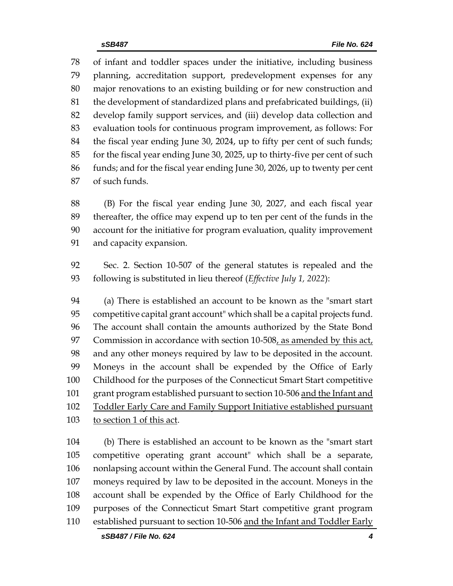of infant and toddler spaces under the initiative, including business planning, accreditation support, predevelopment expenses for any major renovations to an existing building or for new construction and the development of standardized plans and prefabricated buildings, (ii) develop family support services, and (iii) develop data collection and evaluation tools for continuous program improvement, as follows: For the fiscal year ending June 30, 2024, up to fifty per cent of such funds; for the fiscal year ending June 30, 2025, up to thirty-five per cent of such funds; and for the fiscal year ending June 30, 2026, up to twenty per cent of such funds.

 (B) For the fiscal year ending June 30, 2027, and each fiscal year thereafter, the office may expend up to ten per cent of the funds in the account for the initiative for program evaluation, quality improvement and capacity expansion.

 Sec. 2. Section 10-507 of the general statutes is repealed and the following is substituted in lieu thereof (*Effective July 1, 2022*):

 (a) There is established an account to be known as the "smart start competitive capital grant account" which shall be a capital projects fund. The account shall contain the amounts authorized by the State Bond 97 Commission in accordance with section  $10-508$ , as amended by this act, and any other moneys required by law to be deposited in the account. Moneys in the account shall be expended by the Office of Early Childhood for the purposes of the Connecticut Smart Start competitive 101 grant program established pursuant to section 10-506 and the Infant and Toddler Early Care and Family Support Initiative established pursuant to section 1 of this act.

 (b) There is established an account to be known as the "smart start competitive operating grant account" which shall be a separate, nonlapsing account within the General Fund. The account shall contain moneys required by law to be deposited in the account. Moneys in the account shall be expended by the Office of Early Childhood for the purposes of the Connecticut Smart Start competitive grant program established pursuant to section 10-506 and the Infant and Toddler Early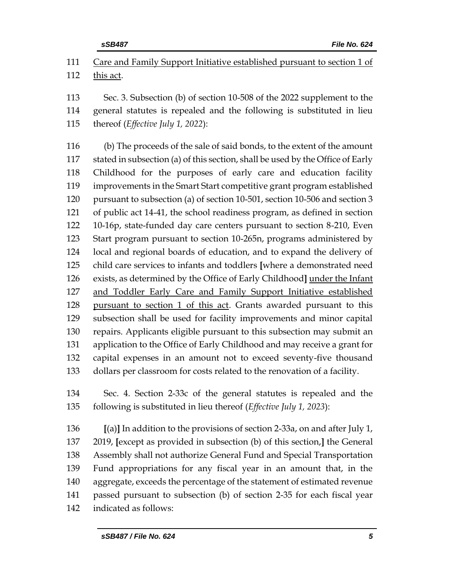Care and Family Support Initiative established pursuant to section 1 of

this act.

 Sec. 3. Subsection (b) of section 10-508 of the 2022 supplement to the general statutes is repealed and the following is substituted in lieu thereof (*Effective July 1, 2022*):

 (b) The proceeds of the sale of said bonds, to the extent of the amount stated in subsection (a) of this section, shall be used by the Office of Early Childhood for the purposes of early care and education facility improvements in the Smart Start competitive grant program established pursuant to subsection (a) of section 10-501, section 10-506 and section 3 of public act 14-41, the school readiness program, as defined in section 10-16p, state-funded day care centers pursuant to section 8-210, Even Start program pursuant to section 10-265n, programs administered by local and regional boards of education, and to expand the delivery of child care services to infants and toddlers **[**where a demonstrated need exists, as determined by the Office of Early Childhood**]** under the Infant 127 and Toddler Early Care and Family Support Initiative established pursuant to section 1 of this act. Grants awarded pursuant to this subsection shall be used for facility improvements and minor capital repairs. Applicants eligible pursuant to this subsection may submit an application to the Office of Early Childhood and may receive a grant for capital expenses in an amount not to exceed seventy-five thousand dollars per classroom for costs related to the renovation of a facility.

 Sec. 4. Section 2-33c of the general statutes is repealed and the following is substituted in lieu thereof (*Effective July 1, 2023*):

 **[**(a)**]** In addition to the provisions of section 2-33a, on and after July 1, 2019, **[**except as provided in subsection (b) of this section,**]** the General Assembly shall not authorize General Fund and Special Transportation Fund appropriations for any fiscal year in an amount that, in the aggregate, exceeds the percentage of the statement of estimated revenue passed pursuant to subsection (b) of section 2-35 for each fiscal year indicated as follows: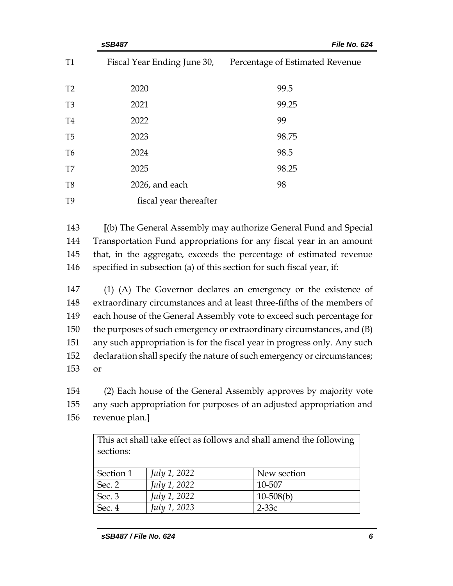|                | sSB487                      | File No. 624                    |  |  |
|----------------|-----------------------------|---------------------------------|--|--|
| <b>T1</b>      | Fiscal Year Ending June 30, | Percentage of Estimated Revenue |  |  |
| T <sub>2</sub> | 2020                        | 99.5                            |  |  |
| T <sub>3</sub> | 2021                        | 99.25                           |  |  |
| T <sub>4</sub> | 2022                        | 99                              |  |  |
| T <sub>5</sub> | 2023                        | 98.75                           |  |  |
| T <sub>6</sub> | 2024                        | 98.5                            |  |  |
| T7             | 2025                        | 98.25                           |  |  |
| T <sub>8</sub> | 2026, and each              | 98                              |  |  |
| T <sub>9</sub> | fiscal year thereafter      |                                 |  |  |

 **[**(b) The General Assembly may authorize General Fund and Special Transportation Fund appropriations for any fiscal year in an amount that, in the aggregate, exceeds the percentage of estimated revenue specified in subsection (a) of this section for such fiscal year, if:

 (1) (A) The Governor declares an emergency or the existence of extraordinary circumstances and at least three-fifths of the members of each house of the General Assembly vote to exceed such percentage for the purposes of such emergency or extraordinary circumstances, and (B) any such appropriation is for the fiscal year in progress only. Any such declaration shall specify the nature of such emergency or circumstances; 153 or

154 (2) Each house of the General Assembly approves by majority vote 155 any such appropriation for purposes of an adjusted appropriation and

156 revenue plan.**]**

| This act shall take effect as follows and shall amend the following<br>sections: |                     |             |  |  |  |  |
|----------------------------------------------------------------------------------|---------------------|-------------|--|--|--|--|
| Section 1                                                                        | <i>July 1, 2022</i> | New section |  |  |  |  |
| Sec. 2                                                                           | July 1, 2022        | 10-507      |  |  |  |  |
| Sec. 3                                                                           | July 1, 2022        | $10-508(b)$ |  |  |  |  |
| Sec. 4                                                                           | July 1, 2023        | $2-33c$     |  |  |  |  |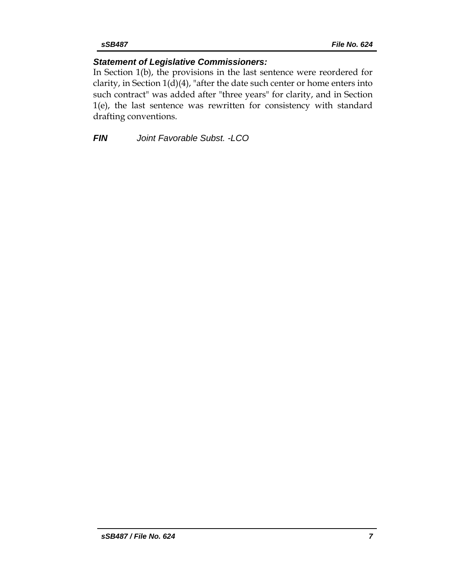## *Statement of Legislative Commissioners:*

In Section 1(b), the provisions in the last sentence were reordered for clarity, in Section 1(d)(4), "after the date such center or home enters into such contract" was added after "three years" for clarity, and in Section 1(e), the last sentence was rewritten for consistency with standard drafting conventions.

*FIN Joint Favorable Subst. -LCO*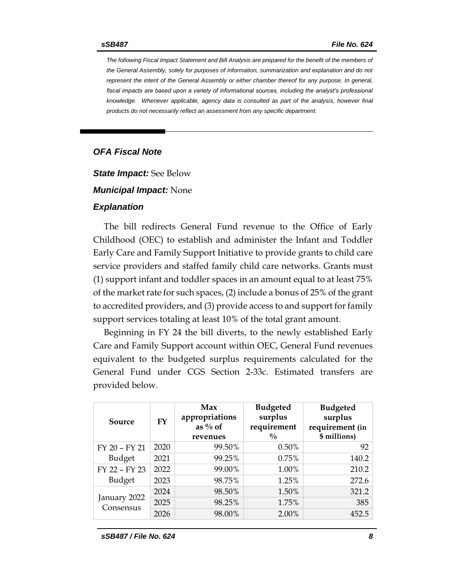*The following Fiscal Impact Statement and Bill Analysis are prepared for the benefit of the members of the General Assembly, solely for purposes of information, summarization and explanation and do not represent the intent of the General Assembly or either chamber thereof for any purpose. In general,*  fiscal impacts are based upon a variety of informational sources, including the analyst's professional *knowledge. Whenever applicable, agency data is consulted as part of the analysis, however final products do not necessarily reflect an assessment from any specific department.*

### *OFA Fiscal Note*

*State Impact:* See Below

*Municipal Impact:* None

#### *Explanation*

The bill redirects General Fund revenue to the Office of Early Childhood (OEC) to establish and administer the Infant and Toddler Early Care and Family Support Initiative to provide grants to child care service providers and staffed family child care networks. Grants must (1) support infant and toddler spaces in an amount equal to at least 75% of the market rate for such spaces, (2) include a bonus of 25% of the grant to accredited providers, and (3) provide access to and support for family support services totaling at least 10% of the total grant amount.

Beginning in FY 24 the bill diverts, to the newly established Early Care and Family Support account within OEC, General Fund revenues equivalent to the budgeted surplus requirements calculated for the General Fund under CGS Section 2-33c. Estimated transfers are provided below.

| Source                    | FY   | Max<br>appropriations<br>as $\%$ of<br>revenues | <b>Budgeted</b><br>surplus<br>requirement<br>$\frac{0}{0}$ | <b>Budgeted</b><br>surplus<br>requirement (in<br>\$ millions) |
|---------------------------|------|-------------------------------------------------|------------------------------------------------------------|---------------------------------------------------------------|
| FY 20 - FY 21             | 2020 | 99.50%                                          | 0.50%                                                      | 92                                                            |
| <b>Budget</b>             | 2021 | 99.25%                                          | 0.75%                                                      | 140.2                                                         |
| FY 22 - FY 23             | 2022 | 99.00%                                          | 1.00%                                                      | 210.2                                                         |
| <b>Budget</b>             | 2023 | 98.75%                                          | 1.25%                                                      | 272.6                                                         |
|                           | 2024 | 98.50%                                          | 1.50%                                                      | 321.2                                                         |
| January 2022<br>Consensus | 2025 | 98.25%                                          | 1.75%                                                      | 385                                                           |
|                           | 2026 | 98.00%                                          | 2.00%                                                      | 452.5                                                         |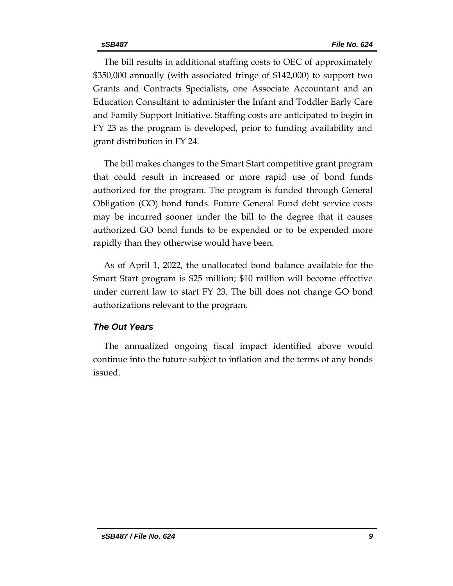The bill results in additional staffing costs to OEC of approximately \$350,000 annually (with associated fringe of \$142,000) to support two Grants and Contracts Specialists, one Associate Accountant and an Education Consultant to administer the Infant and Toddler Early Care and Family Support Initiative. Staffing costs are anticipated to begin in FY 23 as the program is developed, prior to funding availability and grant distribution in FY 24.

The bill makes changes to the Smart Start competitive grant program that could result in increased or more rapid use of bond funds authorized for the program. The program is funded through General Obligation (GO) bond funds. Future General Fund debt service costs may be incurred sooner under the bill to the degree that it causes authorized GO bond funds to be expended or to be expended more rapidly than they otherwise would have been.

As of April 1, 2022, the unallocated bond balance available for the Smart Start program is \$25 million; \$10 million will become effective under current law to start FY 23. The bill does not change GO bond authorizations relevant to the program.

#### *The Out Years*

The annualized ongoing fiscal impact identified above would continue into the future subject to inflation and the terms of any bonds issued.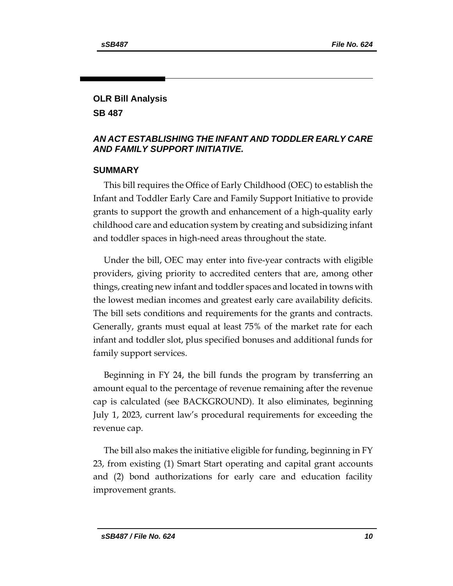# **OLR Bill Analysis**

**SB 487**

## *AN ACT ESTABLISHING THE INFANT AND TODDLER EARLY CARE AND FAMILY SUPPORT INITIATIVE.*

## **SUMMARY**

This bill requires the Office of Early Childhood (OEC) to establish the Infant and Toddler Early Care and Family Support Initiative to provide grants to support the growth and enhancement of a high-quality early childhood care and education system by creating and subsidizing infant and toddler spaces in high-need areas throughout the state.

Under the bill, OEC may enter into five-year contracts with eligible providers, giving priority to accredited centers that are, among other things, creating new infant and toddler spaces and located in towns with the lowest median incomes and greatest early care availability deficits. The bill sets conditions and requirements for the grants and contracts. Generally, grants must equal at least 75% of the market rate for each infant and toddler slot, plus specified bonuses and additional funds for family support services.

Beginning in FY 24, the bill funds the program by transferring an amount equal to the percentage of revenue remaining after the revenue cap is calculated (see BACKGROUND). It also eliminates, beginning July 1, 2023, current law's procedural requirements for exceeding the revenue cap.

The bill also makes the initiative eligible for funding, beginning in FY 23, from existing (1) Smart Start operating and capital grant accounts and (2) bond authorizations for early care and education facility improvement grants.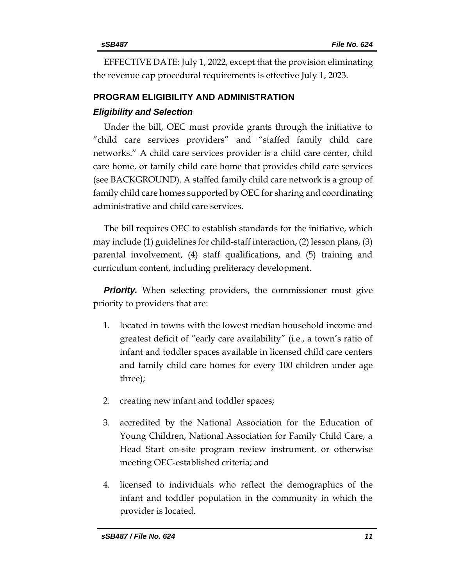EFFECTIVE DATE: July 1, 2022, except that the provision eliminating the revenue cap procedural requirements is effective July 1, 2023.

# **PROGRAM ELIGIBILITY AND ADMINISTRATION**  *Eligibility and Selection*

Under the bill, OEC must provide grants through the initiative to "child care services providers" and "staffed family child care networks." A child care services provider is a child care center, child care home, or family child care home that provides child care services (see BACKGROUND). A staffed family child care network is a group of family child care homes supported by OEC for sharing and coordinating administrative and child care services.

The bill requires OEC to establish standards for the initiative, which may include (1) guidelines for child-staff interaction, (2) lesson plans, (3) parental involvement, (4) staff qualifications, and (5) training and curriculum content, including preliteracy development.

**Priority.** When selecting providers, the commissioner must give priority to providers that are:

- 1. located in towns with the lowest median household income and greatest deficit of "early care availability" (i.e., a town's ratio of infant and toddler spaces available in licensed child care centers and family child care homes for every 100 children under age three);
- 2. creating new infant and toddler spaces;
- 3. accredited by the National Association for the Education of Young Children, National Association for Family Child Care, a Head Start on-site program review instrument, or otherwise meeting OEC-established criteria; and
- 4. licensed to individuals who reflect the demographics of the infant and toddler population in the community in which the provider is located.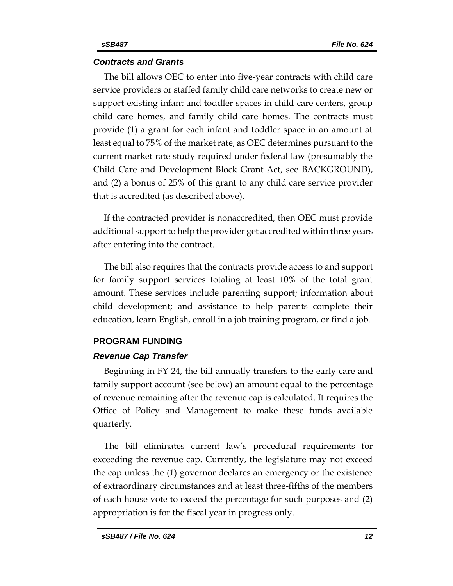#### *Contracts and Grants*

The bill allows OEC to enter into five-year contracts with child care service providers or staffed family child care networks to create new or support existing infant and toddler spaces in child care centers, group child care homes, and family child care homes. The contracts must provide (1) a grant for each infant and toddler space in an amount at least equal to 75% of the market rate, as OEC determines pursuant to the current market rate study required under federal law (presumably the Child Care and Development Block Grant Act, see BACKGROUND), and (2) a bonus of 25% of this grant to any child care service provider that is accredited (as described above).

If the contracted provider is nonaccredited, then OEC must provide additional support to help the provider get accredited within three years after entering into the contract.

The bill also requires that the contracts provide access to and support for family support services totaling at least 10% of the total grant amount. These services include parenting support; information about child development; and assistance to help parents complete their education, learn English, enroll in a job training program, or find a job.

#### **PROGRAM FUNDING**

#### *Revenue Cap Transfer*

Beginning in FY 24, the bill annually transfers to the early care and family support account (see below) an amount equal to the percentage of revenue remaining after the revenue cap is calculated. It requires the Office of Policy and Management to make these funds available quarterly.

The bill eliminates current law's procedural requirements for exceeding the revenue cap. Currently, the legislature may not exceed the cap unless the (1) governor declares an emergency or the existence of extraordinary circumstances and at least three-fifths of the members of each house vote to exceed the percentage for such purposes and (2) appropriation is for the fiscal year in progress only.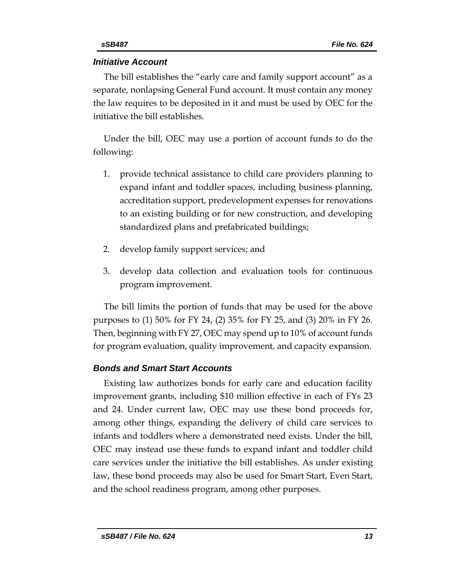## *Initiative Account*

The bill establishes the "early care and family support account" as a separate, nonlapsing General Fund account. It must contain any money the law requires to be deposited in it and must be used by OEC for the initiative the bill establishes.

Under the bill, OEC may use a portion of account funds to do the following:

- 1. provide technical assistance to child care providers planning to expand infant and toddler spaces, including business planning, accreditation support, predevelopment expenses for renovations to an existing building or for new construction, and developing standardized plans and prefabricated buildings;
- 2. develop family support services; and
- 3. develop data collection and evaluation tools for continuous program improvement.

The bill limits the portion of funds that may be used for the above purposes to (1) 50% for FY 24, (2) 35% for FY 25, and (3) 20% in FY 26. Then, beginning with FY 27, OEC may spend up to 10% of account funds for program evaluation, quality improvement, and capacity expansion.

## *Bonds and Smart Start Accounts*

Existing law authorizes bonds for early care and education facility improvement grants, including \$10 million effective in each of FYs 23 and 24. Under current law, OEC may use these bond proceeds for, among other things, expanding the delivery of child care services to infants and toddlers where a demonstrated need exists. Under the bill, OEC may instead use these funds to expand infant and toddler child care services under the initiative the bill establishes. As under existing law, these bond proceeds may also be used for Smart Start, Even Start, and the school readiness program, among other purposes.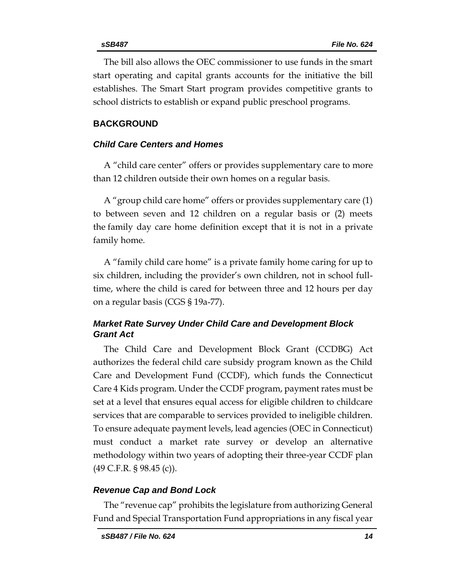The bill also allows the OEC commissioner to use funds in the smart start operating and capital grants accounts for the initiative the bill establishes. The Smart Start program provides competitive grants to school districts to establish or expand public preschool programs.

## **BACKGROUND**

### *Child Care Centers and Homes*

A "child care center" offers or provides supplementary care to more than 12 children outside their own homes on a regular basis.

A "group child care home" offers or provides supplementary care (1) to between seven and 12 children on a regular basis or (2) meets the family day care home definition except that it is not in a private family home.

A "family child care home" is a private family home caring for up to six children, including the provider's own children, not in school fulltime, where the child is cared for between three and 12 hours per day on a regular basis (CGS § 19a-77).

## *Market Rate Survey Under Child Care and Development Block Grant Act*

The Child Care and Development Block Grant (CCDBG) Act authorizes the federal child care subsidy program known as the Child Care and Development Fund (CCDF), which funds the Connecticut Care 4 Kids program. Under the CCDF program, payment rates must be set at a level that ensures equal access for eligible children to childcare services that are comparable to services provided to ineligible children. To ensure adequate payment levels, lead agencies (OEC in Connecticut) must conduct a market rate survey or develop an alternative methodology within two years of adopting their three-year CCDF plan (49 C.F.R. § 98.45 (c)).

#### *Revenue Cap and Bond Lock*

The "revenue cap" prohibits the legislature from authorizing General Fund and Special Transportation Fund appropriations in any fiscal year